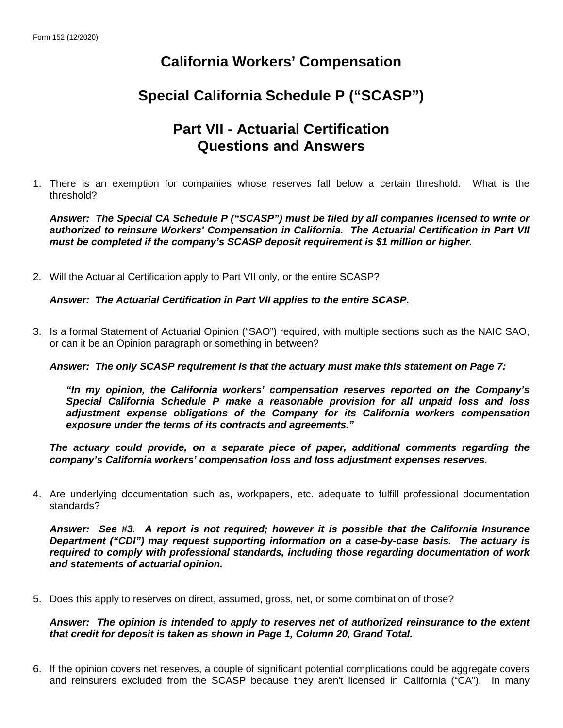## **California Workers' Compensation**

# **Special California Schedule P ("SCASP")**

### **Part VII - Actuarial Certification Questions and Answers**

1. There is an exemption for companies whose reserves fall below a certain threshold. What is the threshold?

*Answer: The Special CA Schedule P ("SCASP") must be filed by all companies licensed to write or authorized to reinsure Workers' Compensation in California. The Actuarial Certification in Part VII must be completed if the company's SCASP deposit requirement is \$1 million or higher.*

2. Will the Actuarial Certification apply to Part VII only, or the entire SCASP?

*Answer: The Actuarial Certification in Part VII applies to the entire SCASP.*

3. Is a formal Statement of Actuarial Opinion ("SAO") required, with multiple sections such as the NAIC SAO, or can it be an Opinion paragraph or something in between?

*Answer: The only SCASP requirement is that the actuary must make this statement on Page 7:*

*"In my opinion, the California workers' compensation reserves reported on the Company's Special California Schedule P make a reasonable provision for all unpaid loss and loss adjustment expense obligations of the Company for its California workers compensation exposure under the terms of its contracts and agreements."*

*The actuary could provide, on a separate piece of paper, additional comments regarding the company's California workers' compensation loss and loss adjustment expenses reserves.*

4. Are underlying documentation such as, workpapers, etc. adequate to fulfill professional documentation standards?

*Answer: See #3. A report is not required; however it is possible that the California Insurance Department ("CDI") may request supporting information on a case-by-case basis. The actuary is required to comply with professional standards, including those regarding documentation of work and statements of actuarial opinion.*

5. Does this apply to reserves on direct, assumed, gross, net, or some combination of those?

*Answer: The opinion is intended to apply to reserves net of authorized reinsurance to the extent that credit for deposit is taken as shown in Page 1, Column 20, Grand Total.*

6. If the opinion covers net reserves, a couple of significant potential complications could be aggregate covers and reinsurers excluded from the SCASP because they aren't licensed in California ("CA"). In many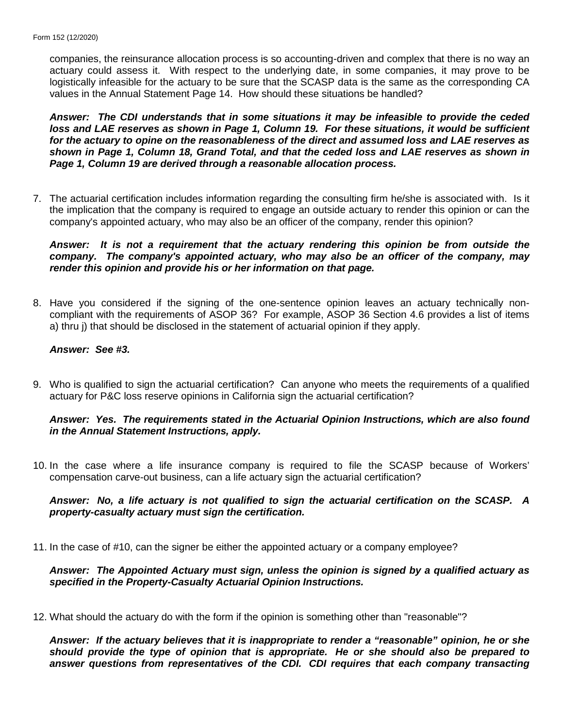companies, the reinsurance allocation process is so accounting-driven and complex that there is no way an actuary could assess it. With respect to the underlying date, in some companies, it may prove to be logistically infeasible for the actuary to be sure that the SCASP data is the same as the corresponding CA values in the Annual Statement Page 14. How should these situations be handled?

*Answer: The CDI understands that in some situations it may be infeasible to provide the ceded*  loss and LAE reserves as shown in Page 1, Column 19. For these situations, it would be sufficient *for the actuary to opine on the reasonableness of the direct and assumed loss and LAE reserves as shown in Page 1, Column 18, Grand Total, and that the ceded loss and LAE reserves as shown in Page 1, Column 19 are derived through a reasonable allocation process.*

7. The actuarial certification includes information regarding the consulting firm he/she is associated with. Is it the implication that the company is required to engage an outside actuary to render this opinion or can the company's appointed actuary, who may also be an officer of the company, render this opinion?

*Answer: It is not a requirement that the actuary rendering this opinion be from outside the company. The company's appointed actuary, who may also be an officer of the company, may render this opinion and provide his or her information on that page.*

8. Have you considered if the signing of the one-sentence opinion leaves an actuary technically noncompliant with the requirements of ASOP 36? For example, ASOP 36 Section 4.6 provides a list of items a) thru j) that should be disclosed in the statement of actuarial opinion if they apply.

#### *Answer: See #3.*

9. Who is qualified to sign the actuarial certification? Can anyone who meets the requirements of a qualified actuary for P&C loss reserve opinions in California sign the actuarial certification?

#### *Answer: Yes. The requirements stated in the Actuarial Opinion Instructions, which are also found in the Annual Statement Instructions, apply.*

10. In the case where a life insurance company is required to file the SCASP because of Workers' compensation carve-out business, can a life actuary sign the actuarial certification?

#### *Answer: No, a life actuary is not qualified to sign the actuarial certification on the SCASP. A property-casualty actuary must sign the certification.*

11. In the case of #10, can the signer be either the appointed actuary or a company employee?

#### *Answer: The Appointed Actuary must sign, unless the opinion is signed by a qualified actuary as specified in the Property-Casualty Actuarial Opinion Instructions.*

12. What should the actuary do with the form if the opinion is something other than "reasonable"?

*Answer: If the actuary believes that it is inappropriate to render a "reasonable" opinion, he or she should provide the type of opinion that is appropriate. He or she should also be prepared to answer questions from representatives of the CDI. CDI requires that each company transacting*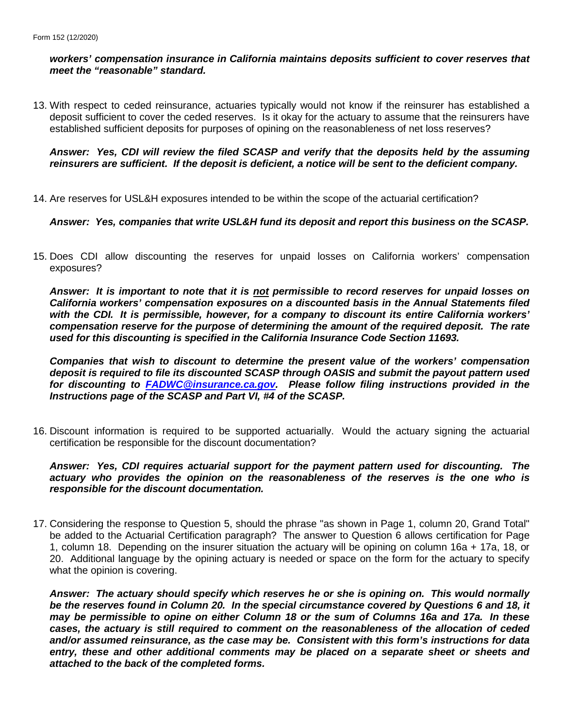#### *workers' compensation insurance in California maintains deposits sufficient to cover reserves that meet the "reasonable" standard.*

13. With respect to ceded reinsurance, actuaries typically would not know if the reinsurer has established a deposit sufficient to cover the ceded reserves. Is it okay for the actuary to assume that the reinsurers have established sufficient deposits for purposes of opining on the reasonableness of net loss reserves?

#### *Answer: Yes, CDI will review the filed SCASP and verify that the deposits held by the assuming reinsurers are sufficient. If the deposit is deficient, a notice will be sent to the deficient company.*

14. Are reserves for USL&H exposures intended to be within the scope of the actuarial certification?

#### *Answer: Yes, companies that write USL&H fund its deposit and report this business on the SCASP.*

15. Does CDI allow discounting the reserves for unpaid losses on California workers' compensation exposures?

*Answer: It is important to note that it is not permissible to record reserves for unpaid losses on California workers' compensation exposures on a discounted basis in the Annual Statements filed with the CDI. It is permissible, however, for a company to discount its entire California workers' compensation reserve for the purpose of determining the amount of the required deposit. The rate used for this discounting is specified in the California Insurance Code Section 11693.*

*Companies that wish to discount to determine the present value of the workers' compensation deposit is required to file its discounted SCASP through OASIS and submit the payout pattern used for discounting to [FADWC@insurance.ca.gov.](mailto:FADWC@insurance.ca.gov) Please follow filing instructions provided in the Instructions page of the SCASP and Part VI, #4 of the SCASP.*

16. Discount information is required to be supported actuarially. Would the actuary signing the actuarial certification be responsible for the discount documentation?

*Answer: Yes, CDI requires actuarial support for the payment pattern used for discounting. The actuary who provides the opinion on the reasonableness of the reserves is the one who is responsible for the discount documentation.*

17. Considering the response to Question 5, should the phrase "as shown in Page 1, column 20, Grand Total" be added to the Actuarial Certification paragraph? The answer to Question 6 allows certification for Page 1, column 18. Depending on the insurer situation the actuary will be opining on column 16a + 17a, 18, or 20. Additional language by the opining actuary is needed or space on the form for the actuary to specify what the opinion is covering.

*Answer: The actuary should specify which reserves he or she is opining on. This would normally be the reserves found in Column 20. In the special circumstance covered by Questions 6 and 18, it may be permissible to opine on either Column 18 or the sum of Columns 16a and 17a. In these cases, the actuary is still required to comment on the reasonableness of the allocation of ceded and/or assumed reinsurance, as the case may be. Consistent with this form's instructions for data entry, these and other additional comments may be placed on a separate sheet or sheets and attached to the back of the completed forms.*